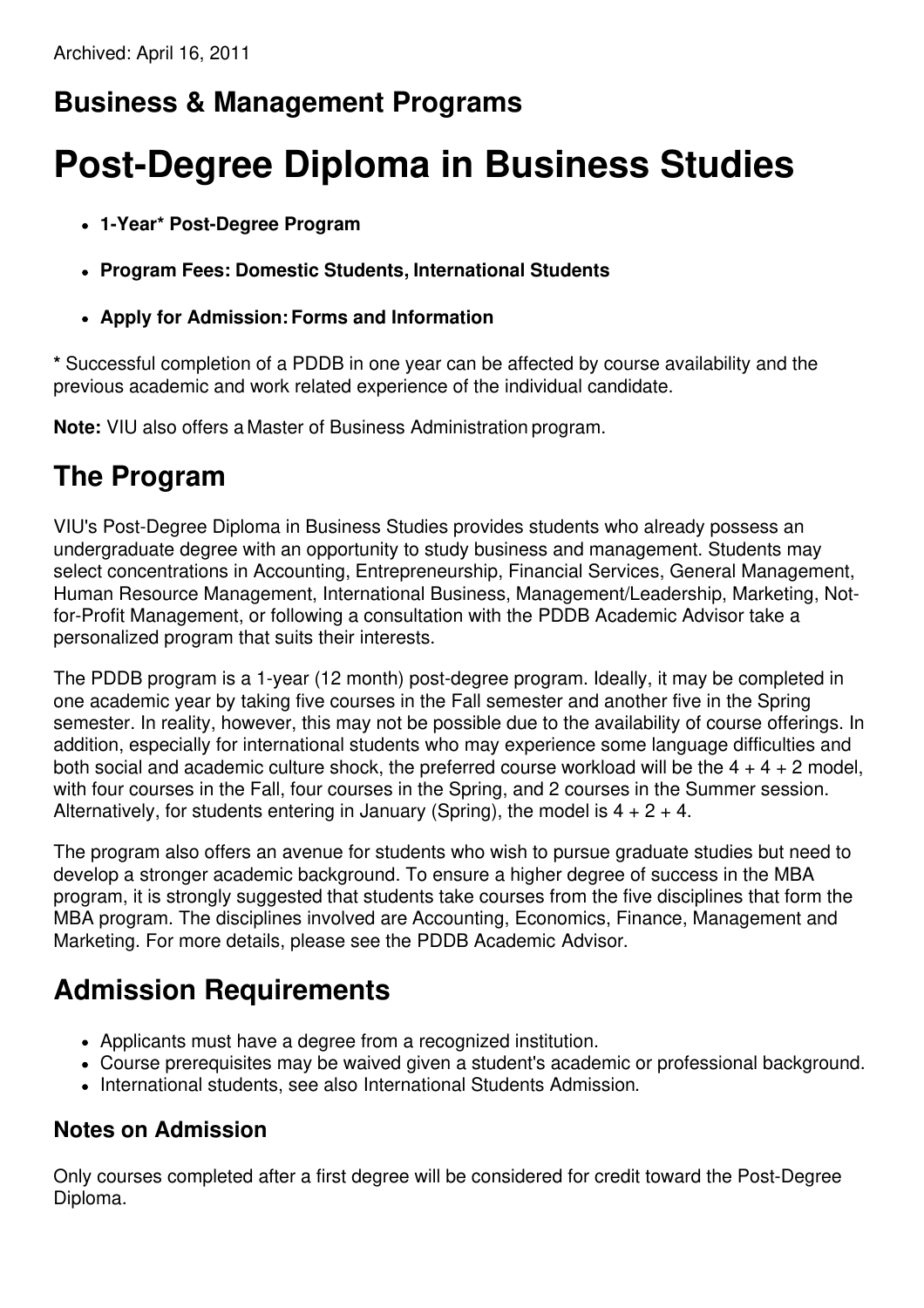# **Business & Management Programs**

# **Post-Degree Diploma in Business Studies**

- **1-Year\* Post-Degree Program**
- **Program Fees: Domestic Students, International Students**
- **Apply for Admission:Forms and Information**

**\*** Successful completion of a PDDB in one year can be affected by course availability and the previous academic and work related experience of the individual candidate.

**Note:** VIU also offers a Master of Business Administration program.

#### **The Program**

VIU's Post-Degree Diploma in Business Studies provides students who already possess an undergraduate degree with an opportunity to study business and management. Students may select concentrations in Accounting, Entrepreneurship, Financial Services, General Management, Human Resource Management, International Business, Management/Leadership, Marketing, Notfor-Profit Management, or following a consultation with the PDDB Academic Advisor take a personalized program that suits their interests.

The PDDB program is a 1-year (12 month) post-degree program. Ideally, it may be completed in one academic year by taking five courses in the Fall semester and another five in the Spring semester. In reality, however, this may not be possible due to the availability of course offerings. In addition, especially for international students who may experience some language difficulties and both social and academic culture shock, the preferred course workload will be the  $4 + 4 + 2$  model, with four courses in the Fall, four courses in the Spring, and 2 courses in the Summer session. Alternatively, for students entering in January (Spring), the model is  $4 + 2 + 4$ .

The program also offers an avenue for students who wish to pursue graduate studies but need to develop a stronger academic background. To ensure a higher degree of success in the MBA program, it is strongly suggested that students take courses from the five disciplines that form the MBA program. The disciplines involved are Accounting, Economics, Finance, Management and Marketing. For more details, please see the PDDB Academic Advisor.

#### **Admission Requirements**

- Applicants must have a degree from a recognized institution.
- Course prerequisites may be waived given a student's academic or professional background.
- International students, see also International Students Admission.

#### **Notes on Admission**

Only courses completed after a first degree will be considered for credit toward the Post-Degree Diploma.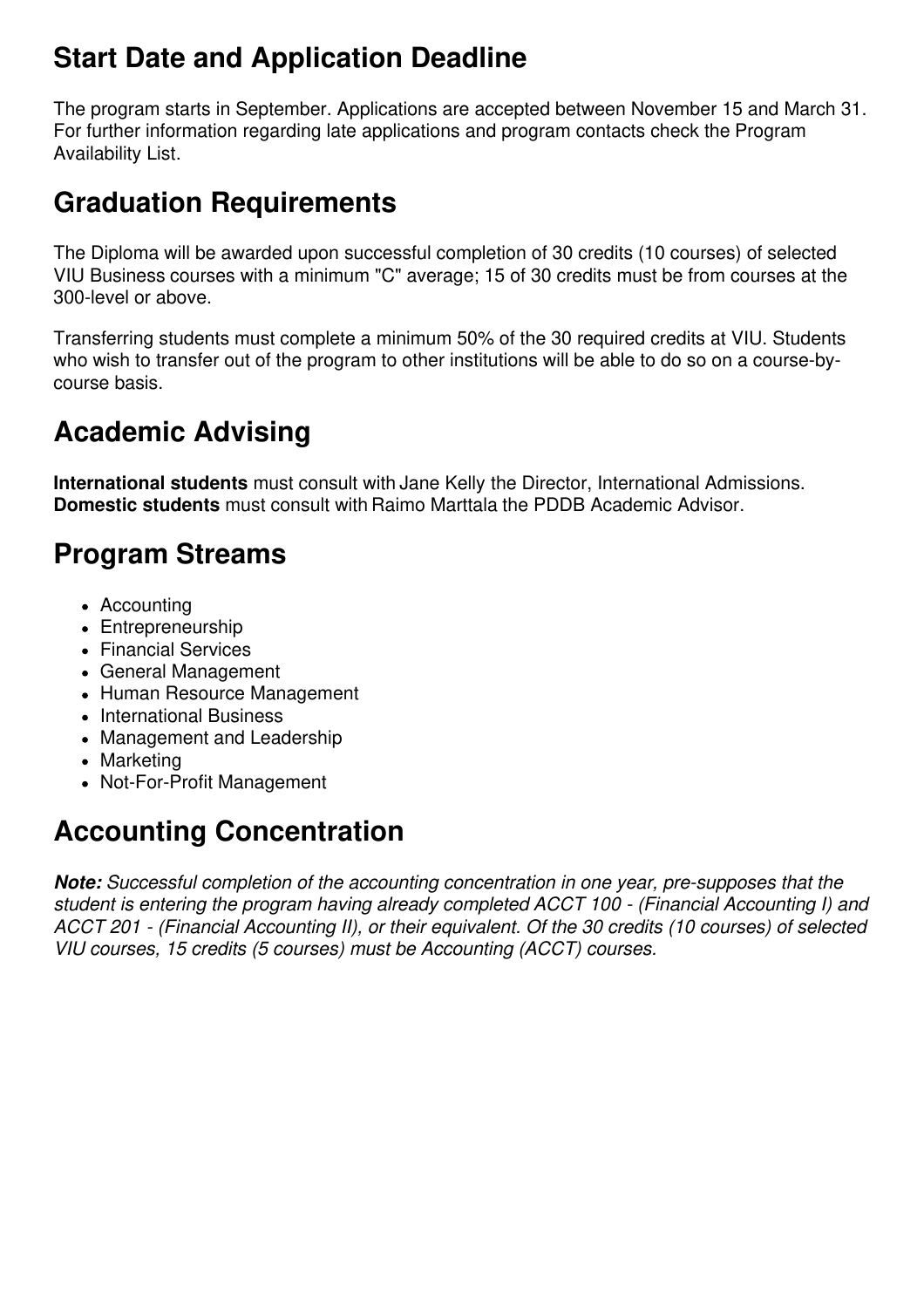### **Start Date and Application Deadline**

The program starts in September. Applications are accepted between November 15 and March 31. For further information regarding late applications and program contacts check the Program Availability List.

#### **Graduation Requirements**

The Diploma will be awarded upon successful completion of 30 credits (10 courses) of selected VIU Business courses with a minimum "C" average; 15 of 30 credits must be from courses at the 300-level or above.

Transferring students must complete a minimum 50% of the 30 required credits at VIU. Students who wish to transfer out of the program to other institutions will be able to do so on a course-bycourse basis.

# **Academic Advising**

**International students** must consult with Jane Kelly the Director, International Admissions. **Domestic students** must consult with Raimo Marttala the PDDB Academic Advisor.

#### **Program Streams**

- Accounting
- Entrepreneurship
- Financial Services
- General Management
- Human Resource Management
- International Business
- Management and Leadership
- Marketing
- Not-For-Profit Management

### **Accounting Concentration**

*Note: Successful completion of the accounting concentration in one year, pre-supposes that the student is entering the program having already completed ACCT 100 - (Financial Accounting I) and ACCT 201 - (Financial Accounting II), or their equivalent. Of the 30 credits (10 courses) of selected VIU courses, 15 credits (5 courses) must be Accounting (ACCT) courses.*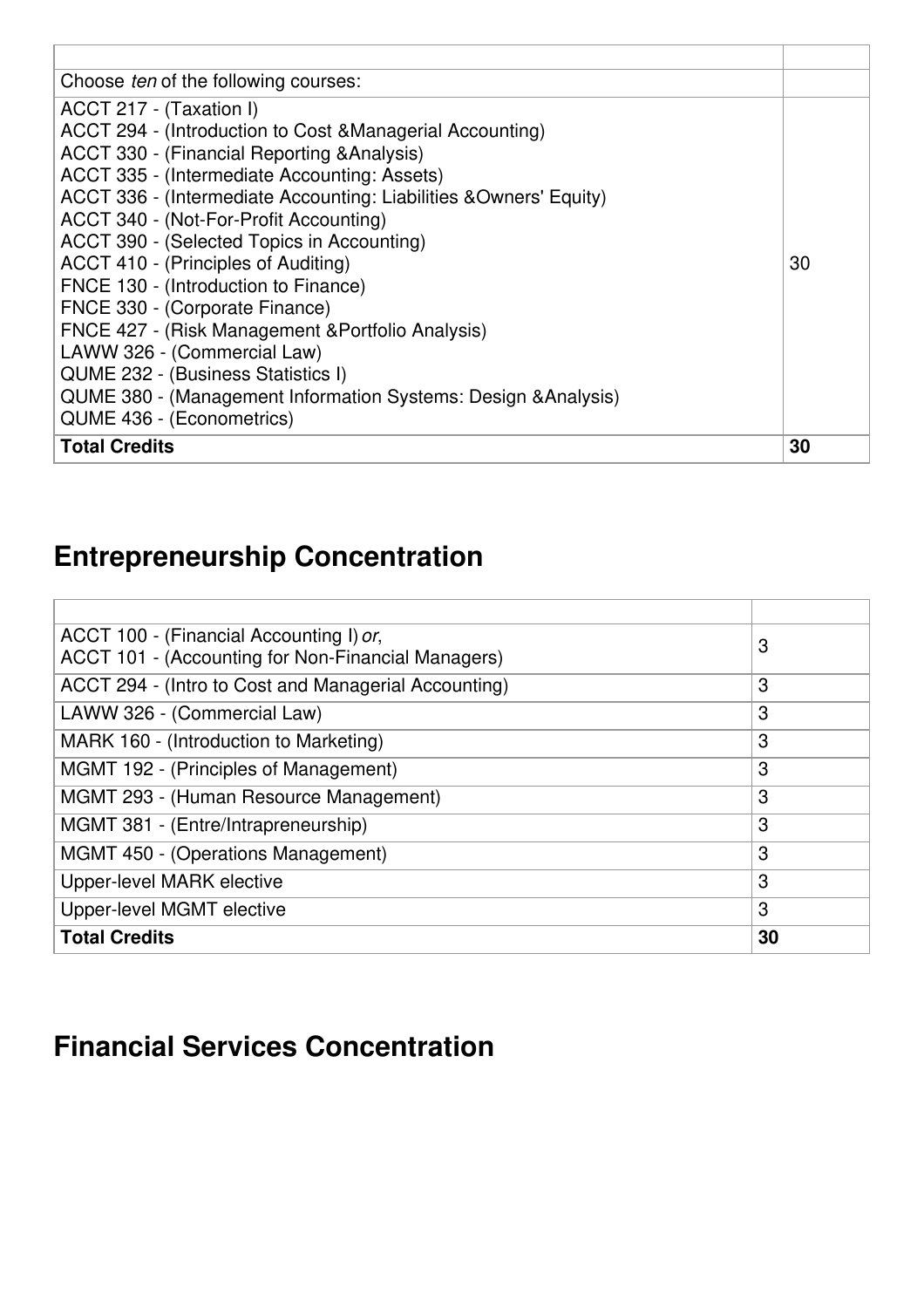| Choose <i>ten</i> of the following courses:                       |    |
|-------------------------------------------------------------------|----|
| ACCT 217 - (Taxation I)                                           |    |
| ACCT 294 - (Introduction to Cost & Managerial Accounting)         |    |
| ACCT 330 - (Financial Reporting & Analysis)                       |    |
| ACCT 335 - (Intermediate Accounting: Assets)                      |    |
| ACCT 336 - (Intermediate Accounting: Liabilities &Owners' Equity) |    |
| ACCT 340 - (Not-For-Profit Accounting)                            |    |
| ACCT 390 - (Selected Topics in Accounting)                        |    |
| ACCT 410 - (Principles of Auditing)                               | 30 |
| FNCE 130 - (Introduction to Finance)                              |    |
| FNCE 330 - (Corporate Finance)                                    |    |
| FNCE 427 - (Risk Management & Portfolio Analysis)                 |    |
| LAWW 326 - (Commercial Law)                                       |    |
| QUME 232 - (Business Statistics I)                                |    |
| QUME 380 - (Management Information Systems: Design & Analysis)    |    |
| QUME 436 - (Econometrics)                                         |    |
| <b>Total Credits</b>                                              | 30 |

# **Entrepreneurship Concentration**

| ACCT 100 - (Financial Accounting I) or,              | 3  |
|------------------------------------------------------|----|
| ACCT 101 - (Accounting for Non-Financial Managers)   |    |
| ACCT 294 - (Intro to Cost and Managerial Accounting) | 3  |
| LAWW 326 - (Commercial Law)                          | 3  |
| MARK 160 - (Introduction to Marketing)               | 3  |
| MGMT 192 - (Principles of Management)                | 3  |
| MGMT 293 - (Human Resource Management)               | 3  |
| MGMT 381 - (Entre/Intrapreneurship)                  | 3  |
| MGMT 450 - (Operations Management)                   | 3  |
| Upper-level MARK elective                            | 3  |
| Upper-level MGMT elective                            | 3  |
| <b>Total Credits</b>                                 | 30 |

#### **Financial Services Concentration**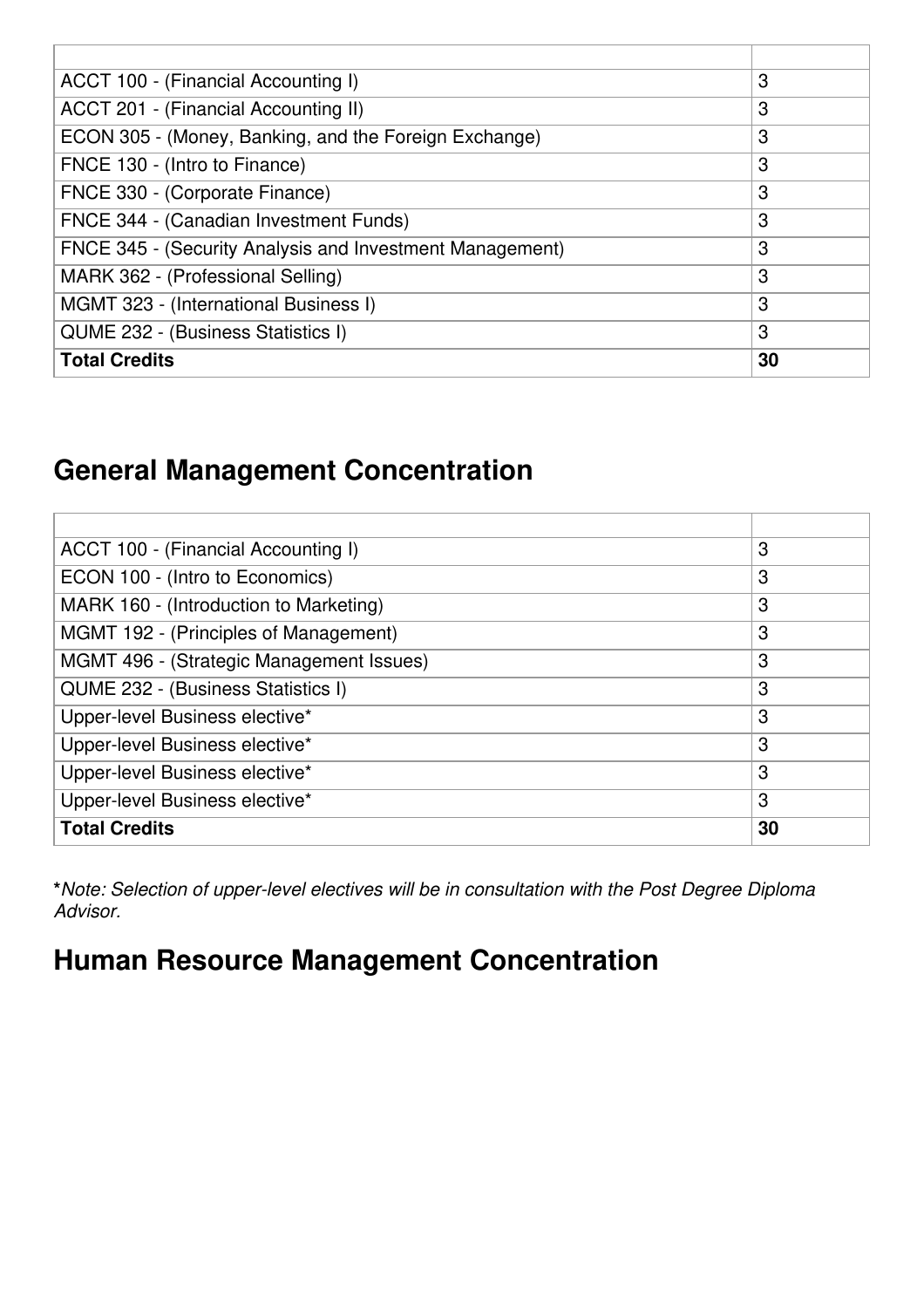| ACCT 100 - (Financial Accounting I)                      | 3  |
|----------------------------------------------------------|----|
| ACCT 201 - (Financial Accounting II)                     | 3  |
| ECON 305 - (Money, Banking, and the Foreign Exchange)    | 3  |
| FNCE 130 - (Intro to Finance)                            | 3  |
| FNCE 330 - (Corporate Finance)                           | 3  |
| FNCE 344 - (Canadian Investment Funds)                   | 3  |
| FNCE 345 - (Security Analysis and Investment Management) | 3  |
| MARK 362 - (Professional Selling)                        | 3  |
| MGMT 323 - (International Business I)                    | 3  |
| QUME 232 - (Business Statistics I)                       | 3  |
| <b>Total Credits</b>                                     | 30 |

#### **General Management Concentration**

| ACCT 100 - (Financial Accounting I)      | 3  |
|------------------------------------------|----|
| ECON 100 - (Intro to Economics)          | 3  |
| MARK 160 - (Introduction to Marketing)   | 3  |
| MGMT 192 - (Principles of Management)    | 3  |
| MGMT 496 - (Strategic Management Issues) | 3  |
| QUME 232 - (Business Statistics I)       | 3  |
| Upper-level Business elective*           | 3  |
| Upper-level Business elective*           | 3  |
| Upper-level Business elective*           | 3  |
| Upper-level Business elective*           | 3  |
| <b>Total Credits</b>                     | 30 |

**\****Note: Selection of upper-level electives will be in consultation with the Post Degree Diploma Advisor.*

## **Human Resource Management Concentration**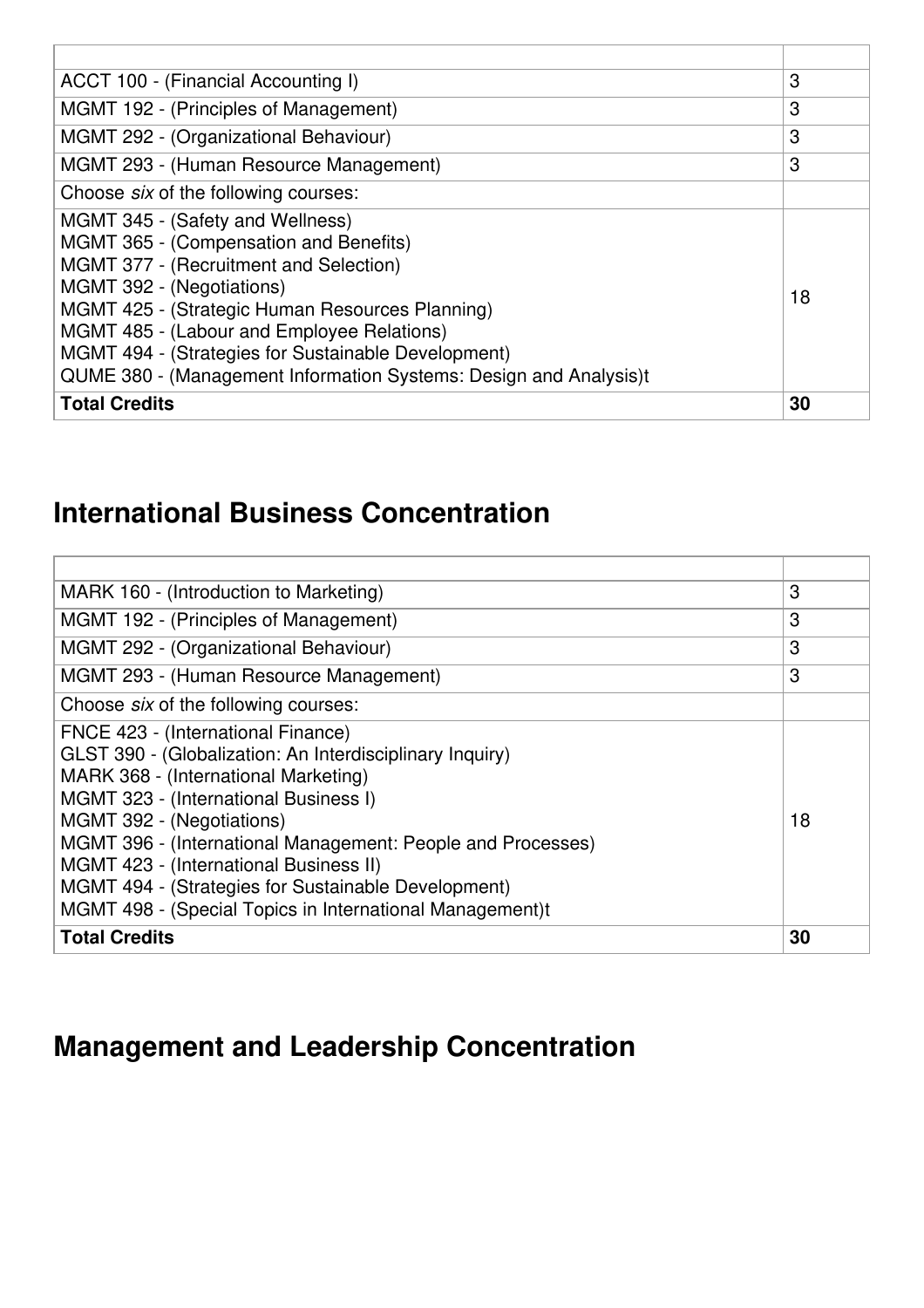| ACCT 100 - (Financial Accounting I)                                                                                                                                                                                                                                                                                                                                            | 3  |
|--------------------------------------------------------------------------------------------------------------------------------------------------------------------------------------------------------------------------------------------------------------------------------------------------------------------------------------------------------------------------------|----|
| MGMT 192 - (Principles of Management)                                                                                                                                                                                                                                                                                                                                          | 3  |
| MGMT 292 - (Organizational Behaviour)                                                                                                                                                                                                                                                                                                                                          | 3  |
| MGMT 293 - (Human Resource Management)                                                                                                                                                                                                                                                                                                                                         | 3  |
| Choose six of the following courses:                                                                                                                                                                                                                                                                                                                                           |    |
| MGMT 345 - (Safety and Wellness)<br>MGMT 365 - (Compensation and Benefits)<br>MGMT 377 - (Recruitment and Selection)<br>MGMT 392 - (Negotiations)<br>MGMT 425 - (Strategic Human Resources Planning)<br>MGMT 485 - (Labour and Employee Relations)<br>MGMT 494 - (Strategies for Sustainable Development)<br>QUME 380 - (Management Information Systems: Design and Analysis)t | 18 |
|                                                                                                                                                                                                                                                                                                                                                                                |    |
| <b>Total Credits</b>                                                                                                                                                                                                                                                                                                                                                           | 30 |

#### **International Business Concentration**

| MARK 160 - (Introduction to Marketing)                      | 3  |
|-------------------------------------------------------------|----|
| MGMT 192 - (Principles of Management)                       | 3  |
| MGMT 292 - (Organizational Behaviour)                       | 3  |
| MGMT 293 - (Human Resource Management)                      | 3  |
| Choose six of the following courses:                        |    |
| FNCE 423 - (International Finance)                          |    |
| GLST 390 - (Globalization: An Interdisciplinary Inquiry)    |    |
| MARK 368 - (International Marketing)                        |    |
| MGMT 323 - (International Business I)                       |    |
| MGMT 392 - (Negotiations)                                   | 18 |
| MGMT 396 - (International Management: People and Processes) |    |
| MGMT 423 - (International Business II)                      |    |
| MGMT 494 - (Strategies for Sustainable Development)         |    |
| MGMT 498 - (Special Topics in International Management)t    |    |
| <b>Total Credits</b>                                        | 30 |

# **Management and Leadership Concentration**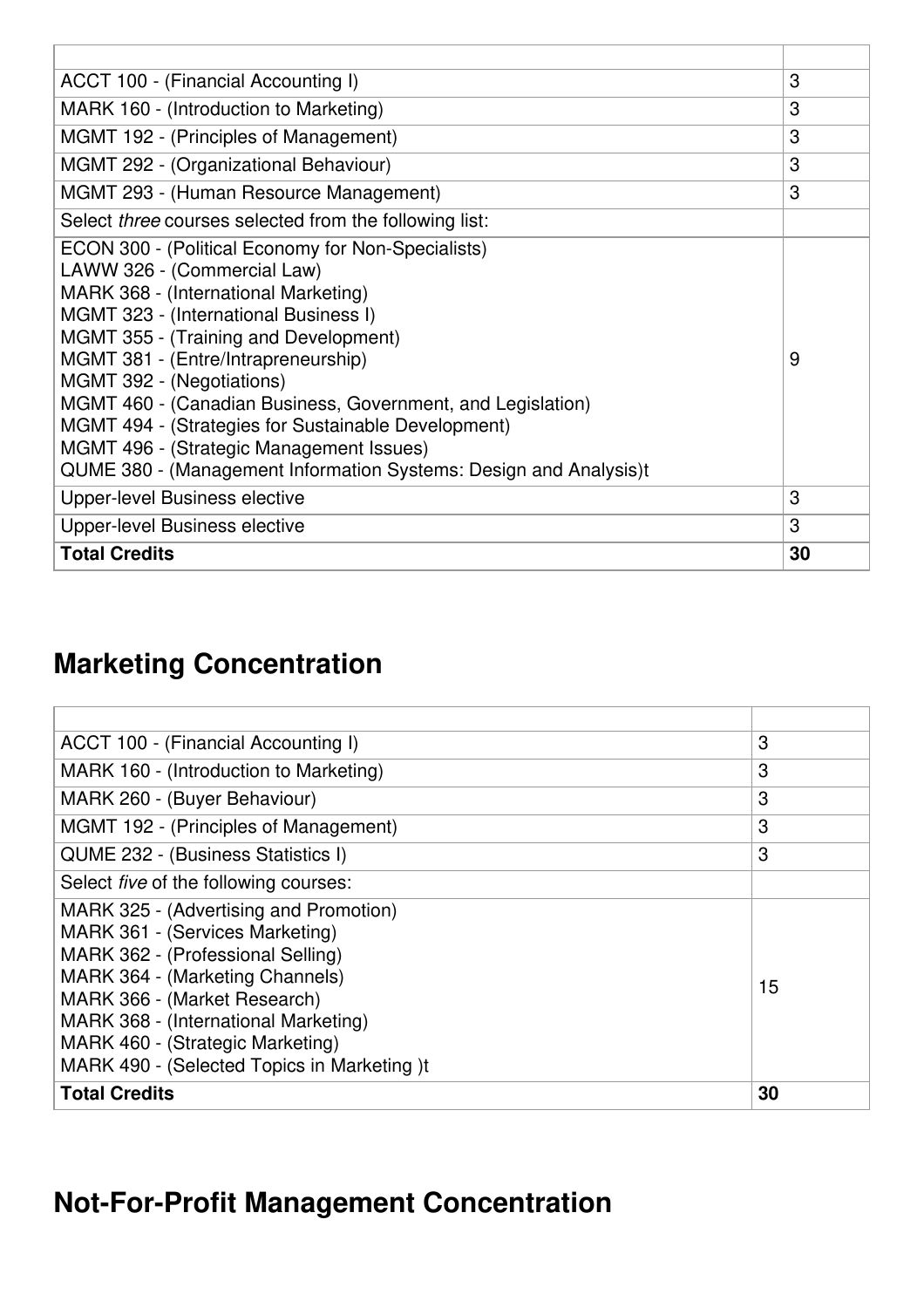| ACCT 100 - (Financial Accounting I)                                                                                                                                                                                                                                                                                                                                                                                                                                                                                                  | 3  |
|--------------------------------------------------------------------------------------------------------------------------------------------------------------------------------------------------------------------------------------------------------------------------------------------------------------------------------------------------------------------------------------------------------------------------------------------------------------------------------------------------------------------------------------|----|
| MARK 160 - (Introduction to Marketing)                                                                                                                                                                                                                                                                                                                                                                                                                                                                                               | 3  |
| MGMT 192 - (Principles of Management)                                                                                                                                                                                                                                                                                                                                                                                                                                                                                                | 3  |
| MGMT 292 - (Organizational Behaviour)                                                                                                                                                                                                                                                                                                                                                                                                                                                                                                | 3  |
| <b>MGMT 293 - (Human Resource Management)</b>                                                                                                                                                                                                                                                                                                                                                                                                                                                                                        | 3  |
| Select three courses selected from the following list:                                                                                                                                                                                                                                                                                                                                                                                                                                                                               |    |
| ECON 300 - (Political Economy for Non-Specialists)<br>LAWW 326 - (Commercial Law)<br>MARK 368 - (International Marketing)<br>MGMT 323 - (International Business I)<br><b>MGMT 355 - (Training and Development)</b><br>MGMT 381 - (Entre/Intrapreneurship)<br>MGMT 392 - (Negotiations)<br>MGMT 460 - (Canadian Business, Government, and Legislation)<br><b>MGMT 494 - (Strategies for Sustainable Development)</b><br>MGMT 496 - (Strategic Management Issues)<br>QUME 380 - (Management Information Systems: Design and Analysis)t | 9  |
| Upper-level Business elective                                                                                                                                                                                                                                                                                                                                                                                                                                                                                                        | 3  |
| Upper-level Business elective                                                                                                                                                                                                                                                                                                                                                                                                                                                                                                        | 3  |
| <b>Total Credits</b>                                                                                                                                                                                                                                                                                                                                                                                                                                                                                                                 | 30 |

## **Marketing Concentration**

| ACCT 100 - (Financial Accounting I)          | 3  |
|----------------------------------------------|----|
| MARK 160 - (Introduction to Marketing)       | 3  |
| MARK 260 - (Buyer Behaviour)                 | 3  |
| MGMT 192 - (Principles of Management)        | 3  |
| QUME 232 - (Business Statistics I)           | 3  |
| Select <i>five</i> of the following courses: |    |
| MARK 325 - (Advertising and Promotion)       |    |
| MARK 361 - (Services Marketing)              |    |
| MARK 362 - (Professional Selling)            |    |
| MARK 364 - (Marketing Channels)              | 15 |
| MARK 366 - (Market Research)                 |    |
| MARK 368 - (International Marketing)         |    |
| MARK 460 - (Strategic Marketing)             |    |
| MARK 490 - (Selected Topics in Marketing )t  |    |
| <b>Total Credits</b>                         | 30 |

# **Not-For-Profit Management Concentration**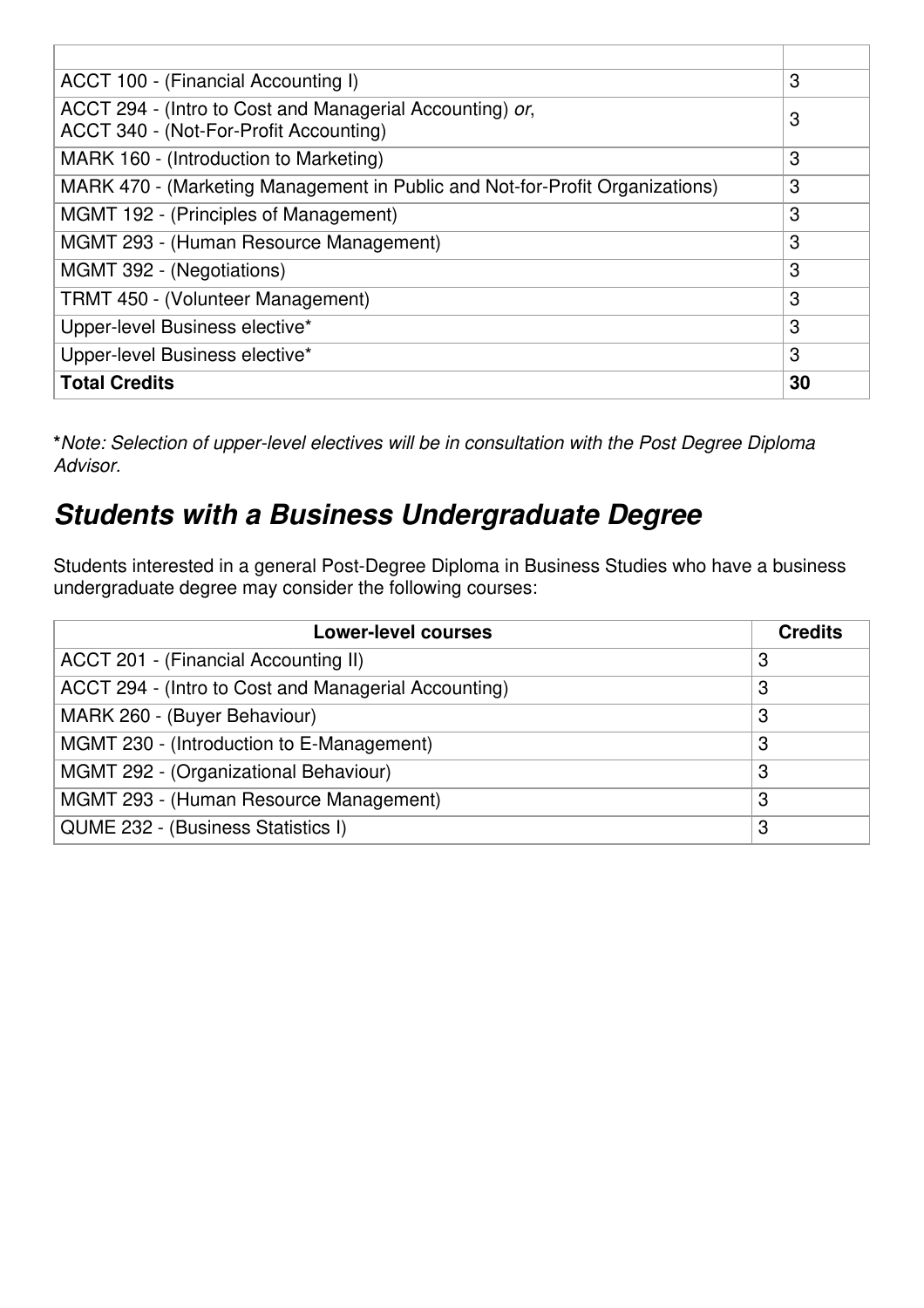| ACCT 100 - (Financial Accounting I)                                          | 3  |
|------------------------------------------------------------------------------|----|
| ACCT 294 - (Intro to Cost and Managerial Accounting) or,                     | 3  |
| ACCT 340 - (Not-For-Profit Accounting)                                       |    |
| MARK 160 - (Introduction to Marketing)                                       | 3  |
| MARK 470 - (Marketing Management in Public and Not-for-Profit Organizations) | 3  |
| MGMT 192 - (Principles of Management)                                        | 3  |
| MGMT 293 - (Human Resource Management)                                       | 3  |
| MGMT 392 - (Negotiations)                                                    | 3  |
| TRMT 450 - (Volunteer Management)                                            | 3  |
| Upper-level Business elective*                                               | 3  |
| Upper-level Business elective*                                               | 3  |
| <b>Total Credits</b>                                                         | 30 |

**\****Note: Selection of upper-level electives will be in consultation with the Post Degree Diploma Advisor.*

#### *Students with a Business Undergraduate Degree*

Students interested in a general Post-Degree Diploma in Business Studies who have a business undergraduate degree may consider the following courses:

| <b>Lower-level courses</b>                           | <b>Credits</b> |
|------------------------------------------------------|----------------|
| ACCT 201 - (Financial Accounting II)                 | 3              |
| ACCT 294 - (Intro to Cost and Managerial Accounting) | 3              |
| MARK 260 - (Buyer Behaviour)                         | 3              |
| MGMT 230 - (Introduction to E-Management)            | 3              |
| MGMT 292 - (Organizational Behaviour)                | 3              |
| MGMT 293 - (Human Resource Management)               | З              |
| QUME 232 - (Business Statistics I)                   | 3              |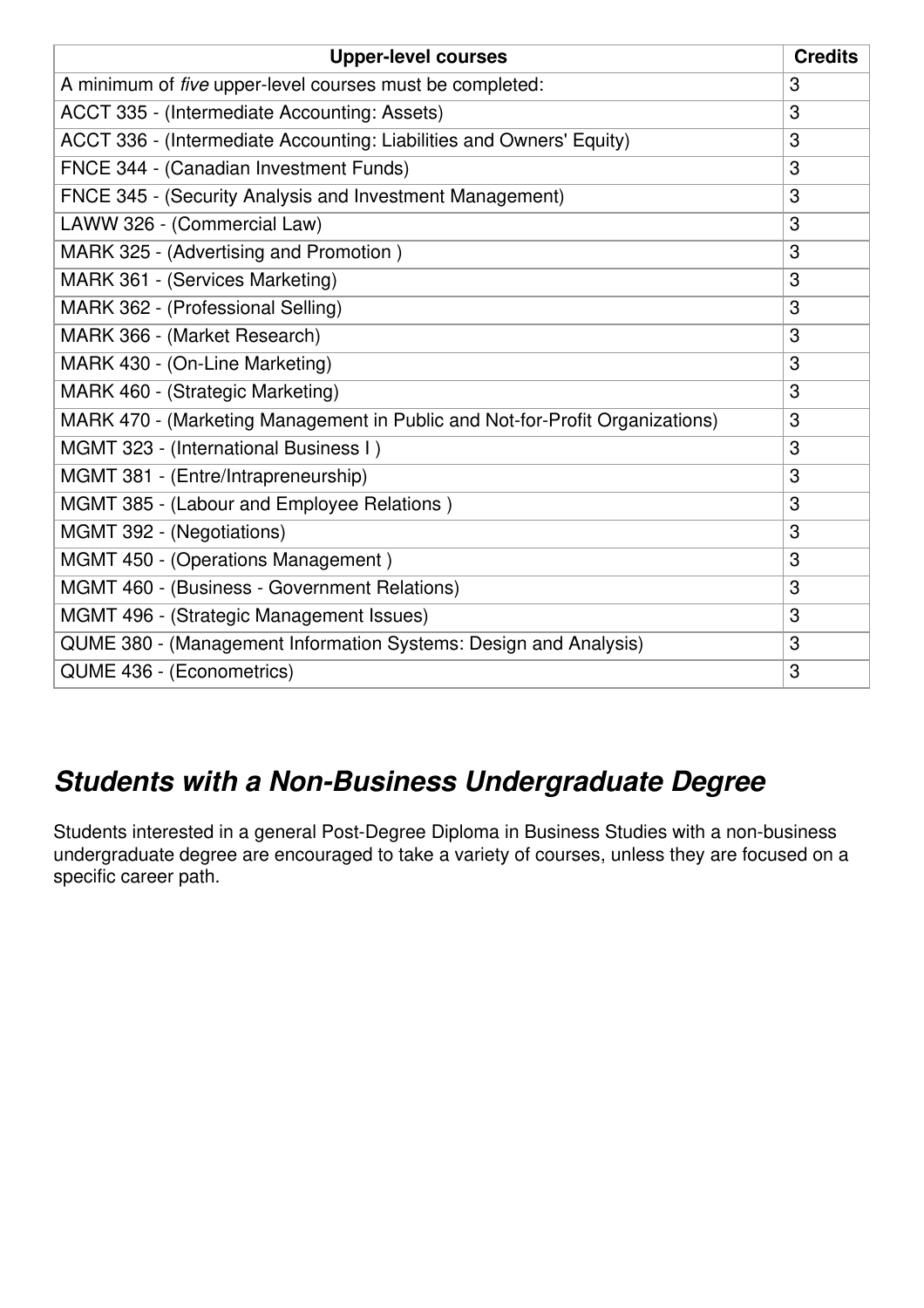| <b>Upper-level courses</b>                                                   | <b>Credits</b> |
|------------------------------------------------------------------------------|----------------|
| A minimum of five upper-level courses must be completed:                     | 3              |
| ACCT 335 - (Intermediate Accounting: Assets)                                 | 3              |
| ACCT 336 - (Intermediate Accounting: Liabilities and Owners' Equity)         | 3              |
| FNCE 344 - (Canadian Investment Funds)                                       | 3              |
| FNCE 345 - (Security Analysis and Investment Management)                     | 3              |
| LAWW 326 - (Commercial Law)                                                  | 3              |
| MARK 325 - (Advertising and Promotion)                                       | 3              |
| MARK 361 - (Services Marketing)                                              | 3              |
| MARK 362 - (Professional Selling)                                            | 3              |
| MARK 366 - (Market Research)                                                 | 3              |
| MARK 430 - (On-Line Marketing)                                               | 3              |
| MARK 460 - (Strategic Marketing)                                             | 3              |
| MARK 470 - (Marketing Management in Public and Not-for-Profit Organizations) | 3              |
| MGMT 323 - (International Business I)                                        | 3              |
| MGMT 381 - (Entre/Intrapreneurship)                                          | 3              |
| MGMT 385 - (Labour and Employee Relations)                                   | 3              |
| MGMT 392 - (Negotiations)                                                    | 3              |
| MGMT 450 - (Operations Management)                                           | 3              |
| MGMT 460 - (Business - Government Relations)                                 | 3              |
| MGMT 496 - (Strategic Management Issues)                                     | 3              |
| QUME 380 - (Management Information Systems: Design and Analysis)             | 3              |
| QUME 436 - (Econometrics)                                                    | 3              |

#### *Students with a Non-Business Undergraduate Degree*

Students interested in a general Post-Degree Diploma in Business Studies with a non-business undergraduate degree are encouraged to take a variety of courses, unless they are focused on a specific career path.